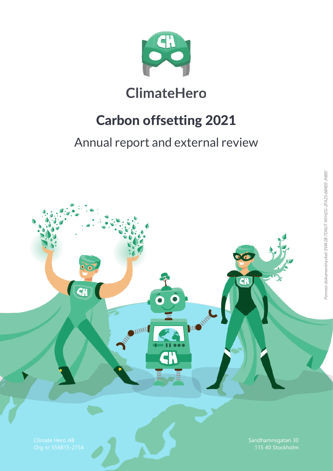

# **ClimateHero**

# Carbon offsetting 2021

### Annual report and external review

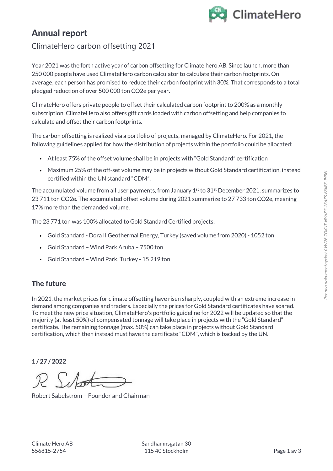

### Annual report

### ClimateHero carbon offsetting 2021

Year 2021 was the forth active year of carbon offsetting for Climate hero AB. Since launch, more than 250 000 people have used ClimateHero carbon calculator to calculate their carbon footprints. On average, each person has promised to reduce their carbon footprint with 30%. That corresponds to a total pledged reduction of over 500 000 ton CO2e per year.

ClimateHero offers private people to offset their calculated carbon footprint to 200% as a monthly subscription. ClimateHero also offers gift cards loaded with carbon offsetting and help companies to calculate and offset their carbon footprints.

The carbon offsetting is realized via a portfolio of projects, managed by ClimateHero. For 2021, the following guidelines applied for how the distribution of projects within the portfolio could be allocated:

- At least 75% of the offset volume shall be in projects with "Gold Standard" certification
- Maximum 25% of the off-set volume may be in projects without Gold Standard certification, instead certified within the UN standard "CDM".

The accumulated volume from all user payments, from January 1<sup>st</sup> to 31<sup>st</sup> December 2021, summarizes to 23 711 ton CO2e. The accumulated offset volume during 2021 summarize to 27 733 ton CO2e, meaning 17% more than the demanded volume.

The 23 771 ton was 100% allocated to Gold Standard Certified projects:

- Gold Standard Dora II Geothermal Energy, Turkey (saved volume from 2020) 1052 ton
- Gold Standard Wind Park Aruba 7500 ton
- Gold Standard Wind Park, Turkey 15 219 ton

#### The future

In 2021, the market prices for climate offsetting have risen sharply, coupled with an extreme increase in demand among companies and traders. Especially the prices for Gold Standard certificates have soared. To meet the new price situation, ClimateHero's portfolio guideline for 2022 will be updated so that the majority (at least 50%) of compensated tonnage will take place in projects with the "Gold Standard" certificate. The remaining tonnage (max. 50%) can take place in projects without Gold Standard certification, which then instead must have the certificate "CDM", which is backed by the UN.

#### 1 / 27 / 2022

Robert Sabelström – Founder and Chairman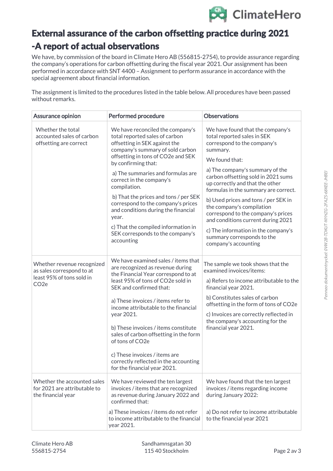

### External assurance of the carbon offsetting practice during 2021 -A report of actual observations

We have, by commission of the board in Climate Hero AB (556815-2754), to provide assurance regarding the company's operations for carbon offsetting during the fiscal year 2021. Our assignment has been performed in accordance with SNT 4400 – Assignment to perform assurance in accordance with the special agreement about financial information.

The assignment is limited to the procedures listed in the table below. All procedures have been passed without remarks.

| <b>Assurance opinion</b>                                                                                 | <b>Performed procedure</b>                                                                                                                                                                                                                                                                                                                                                                                                                                                                                    | <b>Observations</b>                                                                                                                                                                                                                                                                                                                                                                                                                                                                                                             |
|----------------------------------------------------------------------------------------------------------|---------------------------------------------------------------------------------------------------------------------------------------------------------------------------------------------------------------------------------------------------------------------------------------------------------------------------------------------------------------------------------------------------------------------------------------------------------------------------------------------------------------|---------------------------------------------------------------------------------------------------------------------------------------------------------------------------------------------------------------------------------------------------------------------------------------------------------------------------------------------------------------------------------------------------------------------------------------------------------------------------------------------------------------------------------|
| Whether the total<br>accounted sales of carbon<br>offsetting are correct                                 | We have reconciled the company's<br>total reported sales of carbon<br>offsetting in SEK against the<br>company's summary of sold carbon<br>offsetting in tons of CO2e and SEK<br>by confirming that:<br>a) The summaries and formulas are<br>correct in the company's<br>compilation.<br>b) That the prices and tons / per SEK<br>correspond to the company's prices<br>and conditions during the financial<br>year.<br>c) That the compiled information in<br>SEK corresponds to the company's<br>accounting | We have found that the company's<br>total reported sales in SEK<br>correspond to the company's<br>summary.<br>We found that:<br>a) The company's summary of the<br>carbon offsetting sold in 2021 sums<br>up correctly and that the other<br>formulas in the summary are correct.<br>b) Used prices and tons / per SEK in<br>the company's compilation<br>correspond to the company's prices<br>and conditions current during 2021<br>c) The information in the company's<br>summary corresponds to the<br>company's accounting |
| Whether revenue recognized<br>as sales correspond to at<br>least 95% of tons sold in<br>CO <sub>2e</sub> | We have examined sales / items that<br>are recognized as revenue during<br>the Financial Year correspond to at<br>least 95% of tons of CO2e sold in<br>SEK and confirmed that:<br>a) These invoices / items refer to<br>income attributable to the financial<br>year 2021.<br>b) These invoices / items constitute<br>sales of carbon offsetting in the form<br>of tons of CO2e<br>c) These invoices / items are<br>correctly reflected in the accounting<br>for the financial year 2021.                     | The sample we took shows that the<br>examined invoices/items:<br>a) Refers to income attributable to the<br>financial year 2021.<br>b) Constitutes sales of carbon<br>offsetting in the form of tons of CO2e<br>c) Invoices are correctly reflected in<br>the company's accounting for the<br>financial year 2021.                                                                                                                                                                                                              |
| Whether the accounted sales<br>for 2021 are attributable to<br>the financial year                        | We have reviewed the ten largest<br>invoices / items that are recognized<br>as revenue during January 2022 and<br>confirmed that:<br>a) These invoices / items do not refer<br>to income attributable to the financial                                                                                                                                                                                                                                                                                        | We have found that the ten largest<br>invoices / items regarding income<br>during January 2022:<br>a) Do not refer to income attributable<br>to the financial year 2021                                                                                                                                                                                                                                                                                                                                                         |
|                                                                                                          | year 2021.                                                                                                                                                                                                                                                                                                                                                                                                                                                                                                    |                                                                                                                                                                                                                                                                                                                                                                                                                                                                                                                                 |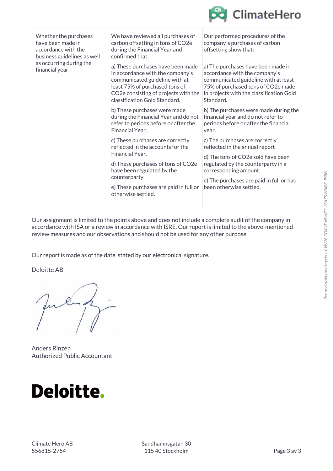

| financial year | Whether the purchases<br>have been made in<br>accordance with the<br>business guidelines as well | We have reviewed all purchases of<br>carbon offsetting in tons of CO2e<br>during the Financial Year and<br>confirmed that:                                                                                                                    | Our performed procedures of the<br>company's purchases of carbon<br>offsetting show that:                                                                                                                                                    |
|----------------|--------------------------------------------------------------------------------------------------|-----------------------------------------------------------------------------------------------------------------------------------------------------------------------------------------------------------------------------------------------|----------------------------------------------------------------------------------------------------------------------------------------------------------------------------------------------------------------------------------------------|
|                | as occurring during the                                                                          | a) These purchases have been made<br>in accordance with the company's<br>communicated guideline with at<br>least 75% of purchased tons of<br>CO2e consisting of projects with the<br>classification Gold Standard.                            | a) The purchases have been made in<br>accordance with the company's<br>communicated guideline with at least<br>75% of purchased tons of CO2e made<br>in projects with the classification Gold<br>Standard.                                   |
|                |                                                                                                  | b) These purchases were made<br>during the Financial Year and do not<br>refer to periods before or after the<br>Financial Year.                                                                                                               | b) The purchases were made during the<br>financial year and do not refer to<br>periods before or after the financial<br>year.                                                                                                                |
|                |                                                                                                  | c) These purchases are correctly<br>reflected in the accounts for the<br>Financial Year.<br>d) These purchases of tons of CO2e<br>have been regulated by the<br>counterparty.<br>e) These purchases are paid in full or<br>otherwise settled. | c) The purchases are correctly<br>reflected in the annual report<br>d) The tons of CO2e sold have been<br>regulated by the counterparty in a<br>corresponding amount.<br>e) The purchases are paid in full or has<br>been otherwise settled. |
|                |                                                                                                  |                                                                                                                                                                                                                                               |                                                                                                                                                                                                                                              |

Our assignment is limited to the points above and does not include a complete audit of the company in accordance with ISA or a review in accordance with ISRE. Our report is limited to the above-mentioned review measures and our observations and should not be used for any other purpose.

Our report is made as of the date stated by our electronical signature.

Deloitte AB

Anders Rinzén Authorized Public Accountant